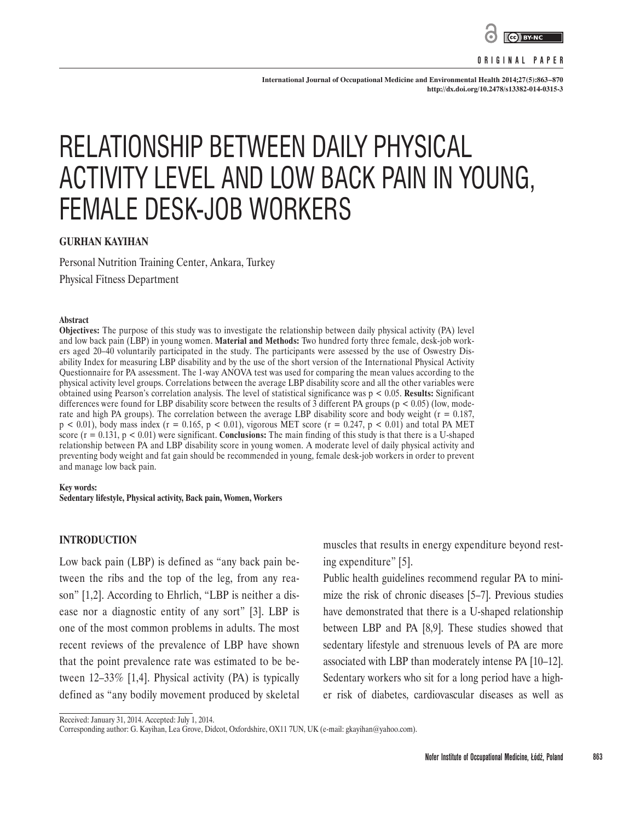

**ORIGINAL PAPER**

**International Journal of Occupational Medicine and Environmental Health 2014;27(5):863–870 <http://dx.doi.org/10.2478/s13382-014-0315-3>**

# RELATIONSHIP BETWEEN DAILY PHYSICAL ACTIVITY LEVEL AND LOW BACK PAIN IN YOUNG, FEMALE DESK-JOB WORKERS

## **GURHAN KAYIHAN**

Personal Nutrition Training Center, Ankara, Turkey Physical Fitness Department

#### **Abstract**

**Objectives:** The purpose of this study was to investigate the relationship between daily physical activity (PA) level and low back pain (LBP) in young women. **Material and Methods:** Two hundred forty three female, desk-job workers aged 20–40 voluntarily participated in the study. The participants were assessed by the use of Oswestry Disability Index for measuring LBP disability and by the use of the short version of the International Physical Activity Questionnaire for PA assessment. The 1-way ANOVA test was used for comparing the mean values according to the physical activity level groups. Correlations between the average LBP disability score and all the other variables were obtained using Pearson's correlation analysis. The level of statistical significance was p < 0.05. **Results:** Significant differences were found for LBP disability score between the results of  $\overline{3}$  different PA groups (p < 0.05) (low, moderate and high PA groups). The correlation between the average LBP disability score and body weight  $(r = 0.187, r = 0.187)$  $p$  < 0.01), body mass index (r = 0.165, p < 0.01), vigorous MET score (r = 0.247, p < 0.01) and total PA MET score  $(r = 0.131, p < 0.01)$  were significant. **Conclusions:** The main finding of this study is that there is a U-shaped relationship between PA and LBP disability score in young women. A moderate level of daily physical activity and preventing body weight and fat gain should be recommended in young, female desk-job workers in order to prevent and manage low back pain.

# **Key words:**

**Sedentary lifestyle, Physical activity, Back pain, Women, Workers**

#### **INTRODUCTION**

Low back pain (LBP) is defined as "any back pain between the ribs and the top of the leg, from any reason" [1,2]. According to Ehrlich, "LBP is neither a disease nor a diagnostic entity of any sort" [3]. LBP is one of the most common problems in adults. The most recent reviews of the prevalence of LBP have shown that the point prevalence rate was estimated to be between 12–33% [1,4]. Physical activity (PA) is typically defined as "any bodily movement produced by skeletal muscles that results in energy expenditure beyond resting expenditure" [5].

Public health guidelines recommend regular PA to minimize the risk of chronic diseases [5–7]. Previous studies have demonstrated that there is a U-shaped relationship between LBP and PA [8,9]. These studies showed that sedentary lifestyle and strenuous levels of PA are more associated with LBP than moderately intense PA [10–12]. Sedentary workers who sit for a long period have a higher risk of diabetes, cardiovascular diseases as well as

Received: January 31, 2014. Accepted: July 1, 2014.

Corresponding author: G. Kayihan, Lea Grove, Didcot, Oxfordshire, OX11 7UN, UK (e-mail: [gkayihan@yahoo.com\)](mailto:gkayihan@yahoo.com).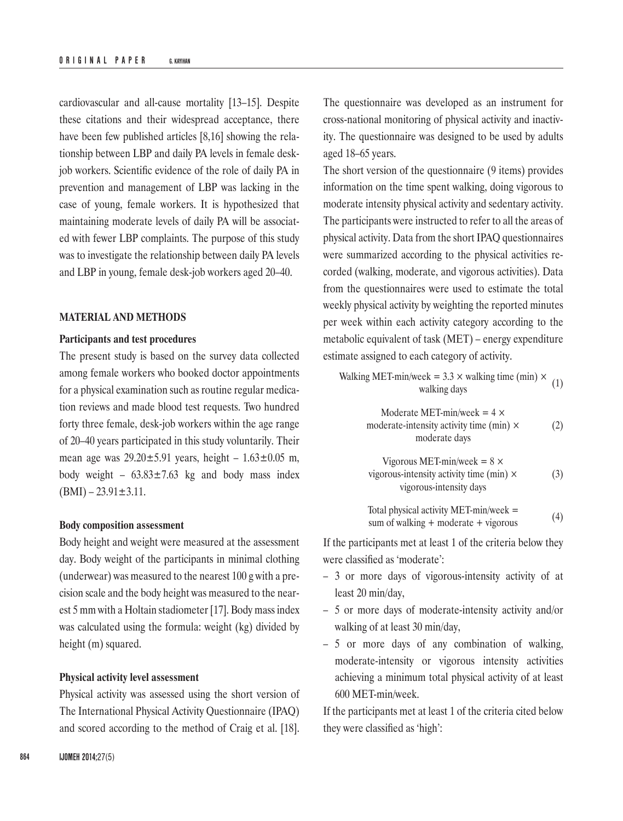cardiovascular and all-cause mortality [13–15]. Despite these citations and their widespread acceptance, there have been few published articles [8,16] showing the relationship between LBP and daily PA levels in female deskjob workers. Scientific evidence of the role of daily PA in prevention and management of LBP was lacking in the case of young, female workers. It is hypothesized that maintaining moderate levels of daily PA will be associated with fewer LBP complaints. The purpose of this study was to investigate the relationship between daily PA levels and LBP in young, female desk-job workers aged 20–40.

#### **MATERIAL AND METHODS**

#### **Participants and test procedures**

The present study is based on the survey data collected among female workers who booked doctor appointments for a physical examination such as routine regular medication reviews and made blood test requests. Two hundred forty three female, desk-job workers within the age range of 20–40 years participated in this study voluntarily. Their mean age was  $29.20 \pm 5.91$  years, height –  $1.63 \pm 0.05$  m, body weight –  $63.83 \pm 7.63$  kg and body mass index  $(BMI) - 23.91 \pm 3.11.$ 

#### **Body composition assessment**

Body height and weight were measured at the assessment day. Body weight of the participants in minimal clothing (underwear) was measured to the nearest 100 g with a precision scale and the body height was measured to the nearest 5 mm with a Holtain stadiometer [17]. Body mass index was calculated using the formula: weight (kg) divided by height (m) squared.

#### **Physical activity level assessment**

Physical activity was assessed using the short version of The International Physical Activity Questionnaire (IPAQ) and scored according to the method of Craig et al. [18].

The questionnaire was developed as an instrument for cross-national monitoring of physical activity and inactivity. The questionnaire was designed to be used by adults aged 18–65 years.

The short version of the questionnaire (9 items) provides information on the time spent walking, doing vigorous to moderate intensity physical activity and sedentary activity. The participants were instructed to refer to all the areas of physical activity. Data from the short IPAQ questionnaires were summarized according to the physical activities recorded (walking, moderate, and vigorous activities). Data from the questionnaires were used to estimate the total weekly physical activity by weighting the reported minutes per week within each activity category according to the metabolic equivalent of task (MET) – energy expenditure estimate assigned to each category of activity.

Walking MET-min/week =  $3.3 \times$  walking time (min)  $\times$  $\text{cex} = 5.5 \times \text{waking time (mm)} \times (1)$ <br>walking days

> Moderate MET-min/week =  $4 \times$ moderate-intensity activity time  $(\min) \times$  (2) moderate days

Vigorous MET-min/week = 
$$
8 \times
$$
  
vigorous-intensity activity time (min) ×  
vigorous-intensity days (3)

Total physical activity MET-min/week = sum of walking + moderate + vigorous  $(4)$ 

If the participants met at least 1 of the criteria below they were classified as 'moderate':

- 3 or more days of vigorous-intensity activity of at least 20 min/day,
- 5 or more days of moderate-intensity activity and/or walking of at least 30 min/day,
- 5 or more days of any combination of walking, moderate-intensity or vigorous intensity activities achieving a minimum total physical activity of at least 600 MET-min/week.

If the participants met at least 1 of the criteria cited below they were classified as 'high':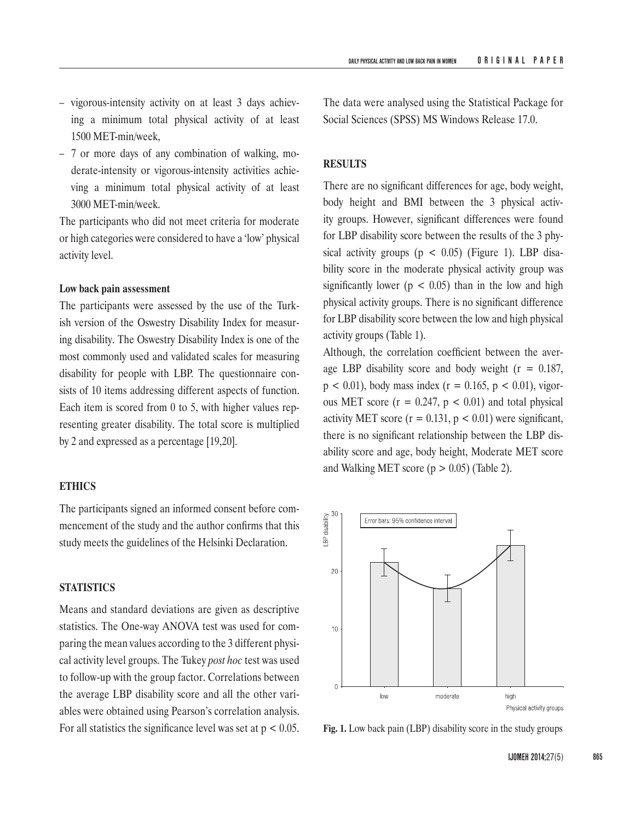- vigorous-intensity activity on at least 3 days achieving a minimum total physical activity of at least 1500 MET-min/week,
- 7 or more days of any combination of walking, moderate-intensity or vigorous-intensity activities achieving a minimum total physical activity of at least 3000 MET-min/week.

The participants who did not meet criteria for moderate or high categories were considered to have a 'low' physical activity level.

#### **Low back pain assessment**

The participants were assessed by the use of the Turkish version of the Oswestry Disability Index for measuring disability. The Oswestry Disability Index is one of the most commonly used and validated scales for measuring disability for people with LBP. The questionnaire consists of 10 items addressing different aspects of function. Each item is scored from 0 to 5, with higher values representing greater disability. The total score is multiplied by 2 and expressed as a percentage [19,20].

#### **ETHICS**

The participants signed an informed consent before commencement of the study and the author confirms that this study meets the guidelines of the Helsinki Declaration.

#### **STATISTICS**

Means and standard deviations are given as descriptive statistics. The One-way ANOVA test was used for comparing the mean values according to the 3 different physical activity level groups. The Tukey *post hoc* test was used to follow-up with the group factor. Correlations between the average LBP disability score and all the other variables were obtained using Pearson's correlation analysis. For all statistics the significance level was set at p < 0.05. **Fig. 1.** Low back pain (LBP) disability score in the study groups

The data were analysed using the Statistical Package for Social Sciences (SPSS) MS Windows Release 17.0.

#### **RESULTS**

There are no significant differences for age, body weight, body height and BMI between the 3 physical activity groups. However, significant differences were found for LBP disability score between the results of the 3 physical activity groups ( $p < 0.05$ ) (Figure 1). LBP disability score in the moderate physical activity group was significantly lower ( $p < 0.05$ ) than in the low and high physical activity groups. There is no significant difference for LBP disability score between the low and high physical activity groups (Table 1).

Although, the correlation coefficient between the average LBP disability score and body weight  $(r = 0.187,$  $p < 0.01$ ), body mass index ( $r = 0.165$ ,  $p < 0.01$ ), vigorous MET score ( $r = 0.247$ ,  $p < 0.01$ ) and total physical activity MET score ( $r = 0.131$ ,  $p < 0.01$ ) were significant, there is no significant relationship between the LBP disability score and age, body height, Moderate MET score and Walking MET score ( $p > 0.05$ ) (Table 2).

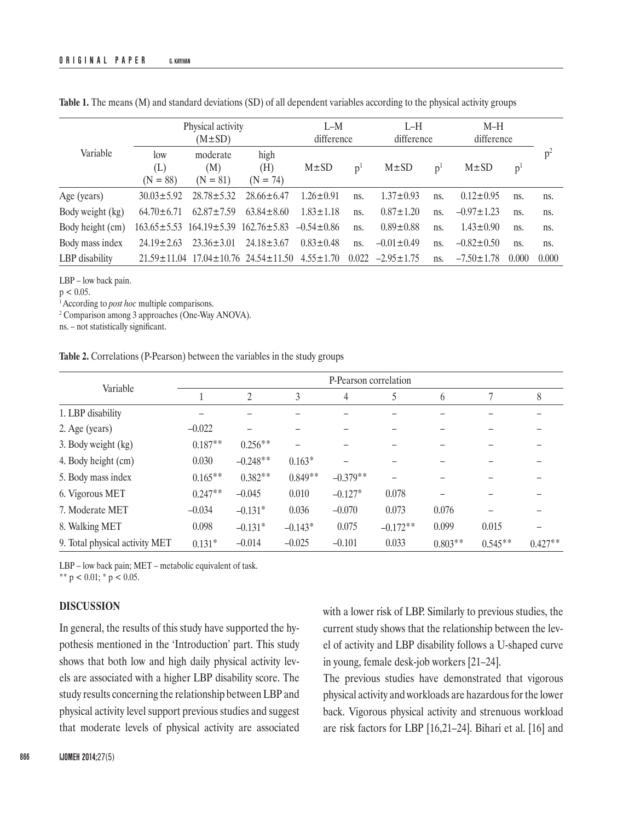|                  | Physical activity        | $I-M$<br>difference           |                                                       | $L-H$<br>difference |                | $M-H$<br>difference |                |                  |                |       |
|------------------|--------------------------|-------------------------------|-------------------------------------------------------|---------------------|----------------|---------------------|----------------|------------------|----------------|-------|
| Variable         | low<br>(L)<br>$(N = 88)$ | moderate<br>(M)<br>$(N = 81)$ | high<br>(H)<br>$(N = 74)$                             | $M\pm SD$           | p <sup>1</sup> | $M \pm SD$          | p <sup>1</sup> | $M\pm SD$        | p <sup>1</sup> |       |
| Age (years)      | $30.03 \pm 5.92$         | $28.78 \pm 5.32$              | $28.66 \pm 6.47$                                      | $1.26 \pm 0.91$     | ns.            | $1.37 \pm 0.93$     | ns.            | $0.12 \pm 0.95$  | ns.            | ns.   |
| Body weight (kg) | $64.70 \pm 6.71$         | $62.87 \pm 7.59$              | $63.84 \pm 8.60$                                      | $1.83 \pm 1.18$     | ns.            | $0.87 \pm 1.20$     | ns.            | $-0.97 \pm 1.23$ | ns.            | ns.   |
| Body height (cm) |                          |                               | $163.65 \pm 5.53$ $164.19 \pm 5.39$ $162.76 \pm 5.83$ | $-0.54 \pm 0.86$    | ns.            | $0.89 \pm 0.88$     | ns.            | $1.43 \pm 0.90$  | ns.            | ns.   |
| Body mass index  | $24.19 \pm 2.63$         | $23.36 \pm 3.01$              | $24.18 \pm 3.67$                                      | $0.83 \pm 0.48$     | ns.            | $-0.01 \pm 0.49$    | ns.            | $-0.82 \pm 0.50$ | ns.            | ns.   |
| LBP disability   | $21.59 \pm 11.04$        |                               | $17.04 \pm 10.76$ $24.54 \pm 11.50$                   | $4.55 \pm 1.70$     | 0.022          | $-2.95 \pm 1.75$    | ns.            | $-7.50 \pm 1.78$ | 0.000          | 0.000 |

**Table 1.** The means (M) and standard deviations (SD) of all dependent variables according to the physical activity groups

LBP – low back pain.

 $p < 0.05$ .

1 According to *post hoc* multiple comparisons.

2 Comparison among 3 approaches (One-Way ANOVA).

ns. – not statistically significant.

|  |  |  |  |  |  |  | <b>Table 2.</b> Correlations (P-Pearson) between the variables in the study groups |  |  |  |  |  |  |  |  |  |  |
|--|--|--|--|--|--|--|------------------------------------------------------------------------------------|--|--|--|--|--|--|--|--|--|--|
|--|--|--|--|--|--|--|------------------------------------------------------------------------------------|--|--|--|--|--|--|--|--|--|--|

|                                | P-Pearson correlation |                |           |            |            |           |           |           |  |  |  |
|--------------------------------|-----------------------|----------------|-----------|------------|------------|-----------|-----------|-----------|--|--|--|
| Variable                       |                       | $\overline{2}$ | 3         | 4          | 5          | 6         |           | 8         |  |  |  |
| 1. LBP disability              |                       |                |           |            |            |           |           |           |  |  |  |
| 2. Age (years)                 | $-0.022$              |                |           |            |            |           |           |           |  |  |  |
| 3. Body weight (kg)            | $0.187**$             | $0.256**$      | -         |            |            |           |           |           |  |  |  |
| 4. Body height (cm)            | 0.030                 | $-0.248**$     | $0.163*$  |            |            |           |           |           |  |  |  |
| 5. Body mass index             | $0.165**$             | $0.382**$      | $0.849**$ | $-0.379**$ |            |           |           |           |  |  |  |
| 6. Vigorous MET                | $0.247**$             | $-0.045$       | 0.010     | $-0.127*$  | 0.078      |           |           |           |  |  |  |
| 7. Moderate MET                | $-0.034$              | $-0.131*$      | 0.036     | $-0.070$   | 0.073      | 0.076     |           |           |  |  |  |
| 8. Walking MET                 | 0.098                 | $-0.131*$      | $-0.143*$ | 0.075      | $-0.172**$ | 0.099     | 0.015     |           |  |  |  |
| 9. Total physical activity MET | $0.131*$              | $-0.014$       | $-0.025$  | $-0.101$   | 0.033      | $0.803**$ | $0.545**$ | $0.427**$ |  |  |  |

LBP – low back pain; MET – metabolic equivalent of task.

\*\*  $p < 0.01$ ; \*  $p < 0.05$ .

### **DISCUSSION**

In general, the results of this study have supported the hypothesis mentioned in the 'Introduction' part. This study shows that both low and high daily physical activity levels are associated with a higher LBP disability score. The study results concerning the relationship between LBP and physical activity level support previous studies and suggest that moderate levels of physical activity are associated

current study shows that the relationship between the level of activity and LBP disability follows a U-shaped curve in young, female desk-job workers [21–24]. The previous studies have demonstrated that vigorous

physical activity and workloads are hazardous for the lower back. Vigorous physical activity and strenuous workload are risk factors for LBP [16,21–24]. Bihari et al. [16] and

with a lower risk of LBP. Similarly to previous studies, the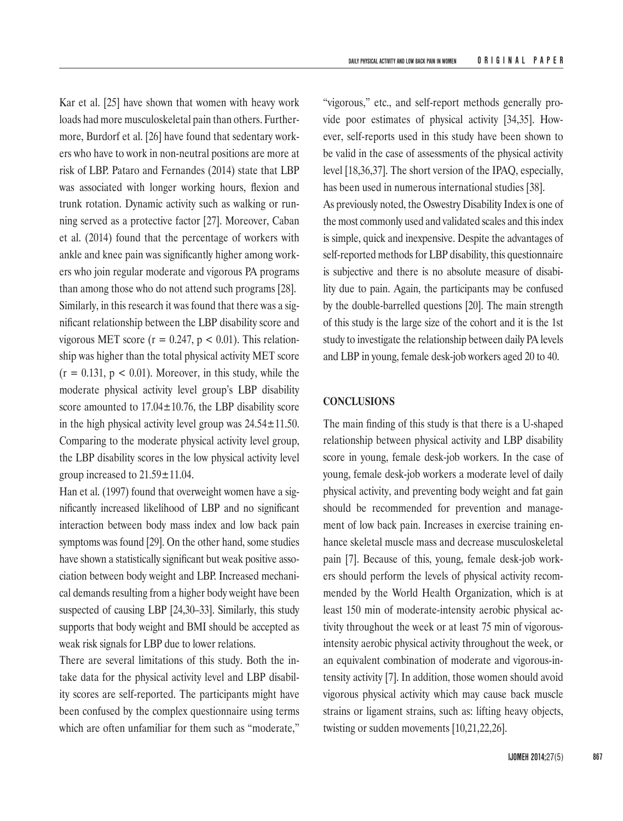Kar et al. [25] have shown that women with heavy work loads had more musculoskeletal pain than others. Furthermore, Burdorf et al. [26] have found that sedentary workers who have to work in non-neutral positions are more at risk of LBP. Pataro and Fernandes (2014) state that LBP was associated with longer working hours, flexion and trunk rotation. Dynamic activity such as walking or running served as a protective factor [27]. Moreover, Caban et al. (2014) found that the percentage of workers with ankle and knee pain was significantly higher among workers who join regular moderate and vigorous PA programs than among those who do not attend such programs [28]. Similarly, in this research it was found that there was a significant relationship between the LBP disability score and vigorous MET score ( $r = 0.247$ ,  $p < 0.01$ ). This relationship was higher than the total physical activity MET score  $(r = 0.131, p < 0.01)$ . Moreover, in this study, while the moderate physical activity level group's LBP disability score amounted to  $17.04 \pm 10.76$ , the LBP disability score in the high physical activity level group was  $24.54 \pm 11.50$ . Comparing to the moderate physical activity level group, the LBP disability scores in the low physical activity level group increased to 21.59±11.04.

Han et al. (1997) found that overweight women have a significantly increased likelihood of LBP and no significant interaction between body mass index and low back pain symptoms was found [29]. On the other hand, some studies have shown a statistically significant but weak positive association between body weight and LBP. Increased mechanical demands resulting from a higher body weight have been suspected of causing LBP [24,30–33]. Similarly, this study supports that body weight and BMI should be accepted as weak risk signals for LBP due to lower relations.

There are several limitations of this study. Both the intake data for the physical activity level and LBP disability scores are self-reported. The participants might have been confused by the complex questionnaire using terms which are often unfamiliar for them such as "moderate,"

"vigorous," etc., and self-report methods generally provide poor estimates of physical activity [34,35]. However, self-reports used in this study have been shown to be valid in the case of assessments of the physical activity level [18,36,37]. The short version of the IPAQ, especially, has been used in numerous international studies [38]. As previously noted, the Oswestry Disability Index is one of the most commonly used and validated scales and this index is simple, quick and inexpensive. Despite the advantages of self-reported methods for LBP disability, this questionnaire is subjective and there is no absolute measure of disability due to pain. Again, the participants may be confused by the double-barrelled questions [20]. The main strength of this study is the large size of the cohort and it is the 1st study to investigate the relationship between daily PA levels and LBP in young, female desk-job workers aged 20 to 40.

#### **CONCLUSIONS**

The main finding of this study is that there is a U-shaped relationship between physical activity and LBP disability score in young, female desk-job workers. In the case of young, female desk-job workers a moderate level of daily physical activity, and preventing body weight and fat gain should be recommended for prevention and management of low back pain. Increases in exercise training enhance skeletal muscle mass and decrease musculoskeletal pain [7]. Because of this, young, female desk-job workers should perform the levels of physical activity recommended by the World Health Organization, which is at least 150 min of moderate-intensity aerobic physical activity throughout the week or at least 75 min of vigorousintensity aerobic physical activity throughout the week, or an equivalent combination of moderate and vigorous-intensity activity [7]. In addition, those women should avoid vigorous physical activity which may cause back muscle strains or ligament strains, such as: lifting heavy objects, twisting or sudden movements [10,21,22,26].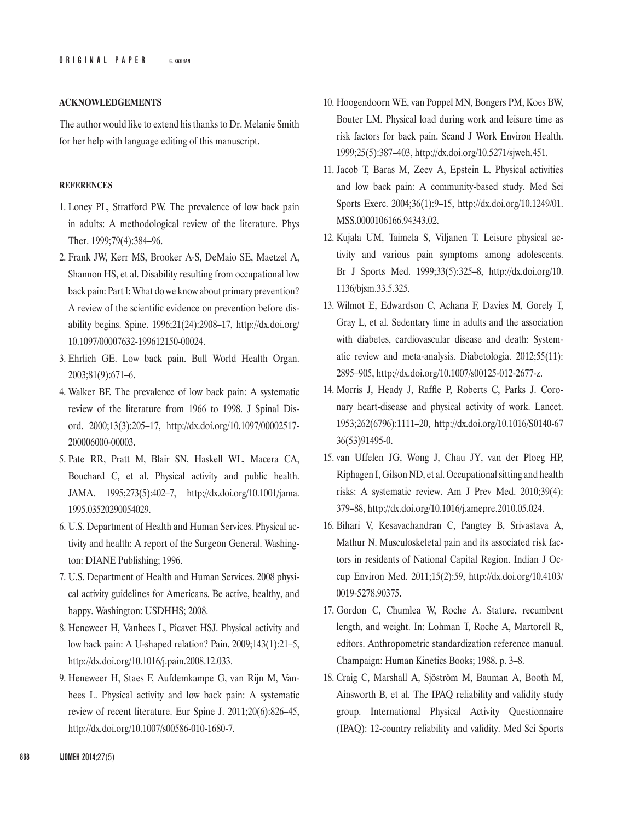#### **ACKNOWLEDGEMENTS**

The author would like to extend his thanks to Dr. Melanie Smith for her help with language editing of this manuscript.

#### **REFERENCES**

- 1. Loney PL, Stratford PW. The prevalence of low back pain in adults: A methodological review of the literature. Phys Ther. 1999;79(4):384–96.
- 2. Frank JW, Kerr MS, Brooker A-S, DeMaio SE, Maetzel A, Shannon HS, et al. Disability resulting from occupational low back pain: Part I: What do we know about primary prevention? A review of the scientific evidence on prevention before disability begins. Spine. 1996;21(24):2908–17, [http://dx.doi.org/](http://dx.doi.org/10.1097/00007632-199612150-00024) [10.1097/00007632-199612150-00024](http://dx.doi.org/10.1097/00007632-199612150-00024).
- 3. Ehrlich GE. Low back pain. Bull World Health Organ. 2003;81(9):671–6.
- 4. Walker BF. The prevalence of low back pain: A systematic review of the literature from 1966 to 1998. J Spinal Disord. 2000;13(3):205–17, [http://dx.doi.org/10.1097/00002517-](http://dx.doi.org/10.1097/00002517-200006000-00003) [200006000-00003.](http://dx.doi.org/10.1097/00002517-200006000-00003)
- 5. Pate RR, Pratt M, Blair SN, Haskell WL, Macera CA, Bouchard C, et al. Physical activity and public health. JAMA. 1995;273(5):402–7, [http://dx.doi.org/10.1001/jama.](http://dx.doi.org/10.1001/jama.1995.03520290054029) [1995.03520290054029](http://dx.doi.org/10.1001/jama.1995.03520290054029).
- 6. U.S. Department of Health and Human Services. Physical activity and health: A report of the Surgeon General. Washington: DIANE Publishing; 1996.
- 7. U.S. Department of Health and Human Services. 2008 physical activity guidelines for Americans. Be active, healthy, and happy. Washington: USDHHS; 2008.
- 8. Heneweer H, Vanhees L, Picavet HSJ. Physical activity and low back pain: A U-shaped relation? Pain. 2009;143(1):21–5, <http://dx.doi.org/10.1016/j.pain.2008.12.033>.
- 9. Heneweer H, Staes F, Aufdemkampe G, van Rijn M, Vanhees L. Physical activity and low back pain: A systematic review of recent literature. Eur Spine J. 2011;20(6):826–45, <http://dx.doi.org/10.1007/s00586-010-1680-7>.
- 10. Hoogendoorn WE, van Poppel MN, Bongers PM, Koes BW, Bouter LM. Physical load during work and leisure time as risk factors for back pain. Scand J Work Environ Health. 1999;25(5):387–403, [http://dx.doi.org/10.5271/sjweh.451.](http://dx.doi.org/10.5271/sjweh.451)
- 11. Jacob T, Baras M, Zeev A, Epstein L. Physical activities and low back pain: A community-based study. Med Sci Sports Exerc. 2004;36(1):9–15, [http://dx.doi.org/10.1249/01.](http://dx.doi.org/10.1249/01.MSS.0000106166.94343.02) [MSS.0000106166.94343.02.](http://dx.doi.org/10.1249/01.MSS.0000106166.94343.02)
- 12. Kujala UM, Taimela S, Viljanen T. Leisure physical activity and various pain symptoms among adolescents. Br J Sports Med. 1999;33(5):325–8, [http://dx.doi.org/10.](http://dx.doi.org/10.1136/bjsm.33.5.325) [1136/bjsm.33.5.325.](http://dx.doi.org/10.1136/bjsm.33.5.325)
- 13. Wilmot E, Edwardson C, Achana F, Davies M, Gorely T, Gray L, et al. Sedentary time in adults and the association with diabetes, cardiovascular disease and death: Systematic review and meta-analysis. Diabetologia. 2012;55(11): 2895–905, [http://dx.doi.org/10.1007/s00125-012-2677-z.](http://dx.doi.org/10.1007/s00125-012-2677-z)
- 14. Morris J, Heady J, Raffle P, Roberts C, Parks J. Coronary heart-disease and physical activity of work. Lancet. 1953;262(6796):1111–20, [http://dx.doi.org/10.1016/S0140-67](http://dx.doi.org/10.1016/S0140-6736(53)91495-0) [36\(53\)91495-0.](http://dx.doi.org/10.1016/S0140-6736(53)91495-0)
- 15. van Uffelen JG, Wong J, Chau JY, van der Ploeg HP, Riphagen I, Gilson ND, et al. Occupational sitting and health risks: A systematic review. Am J Prev Med. 2010;39(4): 379–88,<http://dx.doi.org/10.1016/j.amepre.2010.05.024>.
- 16. Bihari V, Kesavachandran C, Pangtey B, Srivastava A, Mathur N. Musculoskeletal pain and its associated risk factors in residents of National Capital Region. Indian J Occup Environ Med. 2011;15(2):59, [http://dx.doi.org/10.4103/](http://dx.doi.org/10.4103/0019-5278.90375) [0019-5278.90375.](http://dx.doi.org/10.4103/0019-5278.90375)
- 17. Gordon C, Chumlea W, Roche A. Stature, recumbent length, and weight. In: Lohman T, Roche A, Martorell R, editors. Anthropometric standardization reference manual. Champaign: Human Kinetics Books; 1988. p. 3–8.
- 18. Craig C, Marshall A, Sjöström M, Bauman A, Booth M, Ainsworth B, et al. The IPAQ reliability and validity study group. International Physical Activity Questionnaire (IPAQ): 12-country reliability and validity. Med Sci Sports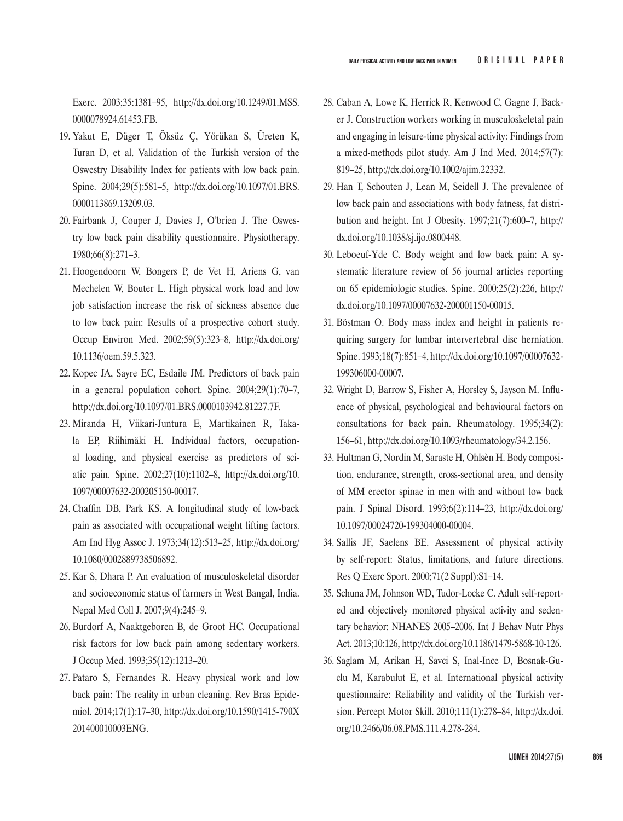Exerc. 2003;35:1381–95, [http://dx.doi.org/10.1249/01.MSS.](http://dx.doi.org/10.1249/01.MSS.0000078924.61453.FB) [0000078924.61453.FB.](http://dx.doi.org/10.1249/01.MSS.0000078924.61453.FB)

- 19. Yakut E, Düger T, Öksüz Ç, Yörükan S, Üreten K, Turan D, et al. Validation of the Turkish version of the Oswestry Disability Index for patients with low back pain. Spine. 2004;29(5):581–5, [http://dx.doi.org/10.1097/01.BRS.](http://dx.doi.org/10.1097/01.BRS.0000113869.13209.03) [0000113869.13209.03.](http://dx.doi.org/10.1097/01.BRS.0000113869.13209.03)
- 20. Fairbank J, Couper J, Davies J, O'brien J. The Oswestry low back pain disability questionnaire. Physiotherapy. 1980;66(8):271–3.
- 21. Hoogendoorn W, Bongers P, de Vet H, Ariens G, van Mechelen W, Bouter L. High physical work load and low job satisfaction increase the risk of sickness absence due to low back pain: Results of a prospective cohort study. Occup Environ Med. 2002;59(5):323–8, [http://dx.doi.org/](http://dx.doi.org/10.1136/oem.59.5.323) [10.1136/oem.59.5.323](http://dx.doi.org/10.1136/oem.59.5.323).
- 22. Kopec JA, Sayre EC, Esdaile JM. Predictors of back pain in a general population cohort. Spine. 2004;29(1):70–7, [http://dx.doi.org/10.1097/01.BRS.0000103942.81227.7F.](http://dx.doi.org/10.1097/01.BRS.0000103942.81227.7F)
- 23. Miranda H, Viikari-Juntura E, Martikainen R, Takala EP, Riihimäki H. Individual factors, occupational loading, and physical exercise as predictors of sciatic pain. Spine. 2002;27(10):1102–8, [http://dx.doi.org/10.](http://dx.doi.org/10.1097/00007632-200205150-00017) [1097/00007632-200205150-00017.](http://dx.doi.org/10.1097/00007632-200205150-00017)
- 24. Chaffin DB, Park KS. A longitudinal study of low-back pain as associated with occupational weight lifting factors. Am Ind Hyg Assoc J. 1973;34(12):513–25, [http://dx.doi.org/](http://dx.doi.org/10.1080/0002889738506892) [10.1080/0002889738506892](http://dx.doi.org/10.1080/0002889738506892).
- 25. Kar S, Dhara P. An evaluation of musculoskeletal disorder and socioeconomic status of farmers in West Bangal, India. Nepal Med Coll J. 2007;9(4):245–9.
- 26. Burdorf A, Naaktgeboren B, de Groot HC. Occupational risk factors for low back pain among sedentary workers. J Occup Med. 1993;35(12):1213–20.
- 27. Pataro S, Fernandes R. Heavy physical work and low back pain: The reality in urban cleaning. Rev Bras Epidemiol. 2014;17(1):17–30, [http://dx.doi.org/10.1590/1415-790X](http://dx.doi.org/10.1590/1415-790X201400010003ENG) [201400010003ENG.](http://dx.doi.org/10.1590/1415-790X201400010003ENG)
- 28. Caban A, Lowe K, Herrick R, Kenwood C, Gagne J, Backer J. Construction workers working in musculoskeletal pain and engaging in leisure-time physical activity: Findings from a mixed-methods pilot study. Am J Ind Med. 2014;57(7): 819–25, [http://dx.doi.org/10.1002/ajim.22332.](http://dx.doi.org/10.1002/ajim.22332)
- 29. Han T, Schouten J, Lean M, Seidell J. The prevalence of low back pain and associations with body fatness, fat distribution and height. Int J Obesity. 1997;21(7):600–7, [http://](http://dx.doi.org/10.1038/sj.ijo.0800448) [dx.doi.org/10.1038/sj.ijo.0800448](http://dx.doi.org/10.1038/sj.ijo.0800448).
- 30. Leboeuf-Yde C. Body weight and low back pain: A systematic literature review of 56 journal articles reporting on 65 epidemiologic studies. Spine. 2000;25(2):226, [http://](http://dx.doi.org/10.1097/00007632-200001150-00015) [dx.doi.org/10.1097/00007632-200001150-00015](http://dx.doi.org/10.1097/00007632-200001150-00015).
- 31. Böstman O. Body mass index and height in patients requiring surgery for lumbar intervertebral disc herniation. Spine. 1993;18(7):851–4, [http://dx.doi.org/10.1097/00007632-](http://dx.doi.org/10.1097/00007632-199306000-00007) [199306000-00007](http://dx.doi.org/10.1097/00007632-199306000-00007).
- 32. Wright D, Barrow S, Fisher A, Horsley S, Jayson M. Influence of physical, psychological and behavioural factors on consultations for back pain. Rheumatology. 1995;34(2): 156–61,<http://dx.doi.org/10.1093/rheumatology/34.2.156>.
- 33. Hultman G, Nordin M, Saraste H, Ohlsèn H. Body composition, endurance, strength, cross-sectional area, and density of MM erector spinae in men with and without low back pain. J Spinal Disord. 1993;6(2):114–23, [http://dx.doi.org/](http://dx.doi.org/10.1097/00024720-199304000-00004) [10.1097/00024720-199304000-00004.](http://dx.doi.org/10.1097/00024720-199304000-00004)
- 34. Sallis JF, Saelens BE. Assessment of physical activity by self-report: Status, limitations, and future directions. Res Q Exerc Sport. 2000;71(2 Suppl):S1–14.
- 35. Schuna JM, Johnson WD, Tudor-Locke C. Adult self-reported and objectively monitored physical activity and sedentary behavior: NHANES 2005–2006. Int J Behav Nutr Phys Act. 2013;10:126, [http://dx.doi.org/10.1186/1479-5868-10-126.](http://dx.doi.org/10.1186/1479-5868-10-126)
- 36. Saglam M, Arikan H, Savci S, Inal-Ince D, Bosnak-Guclu M, Karabulut E, et al. International physical activity questionnaire: Reliability and validity of the Turkish version. Percept Motor Skill. 2010;111(1):278–84, [http://dx.doi.](http://dx.doi.org/10.2466/06.08.PMS.111.4.278-284) [org/10.2466/06.08.PMS.111.4.278-284.](http://dx.doi.org/10.2466/06.08.PMS.111.4.278-284)

**IJOMEH 2014;**27(5) **869**